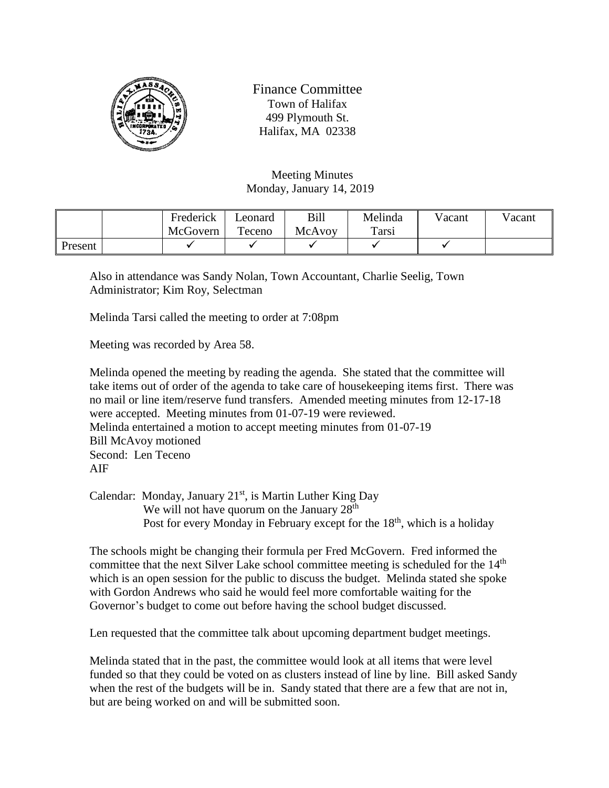

Finance Committee Town of Halifax 499 Plymouth St. Halifax, MA 02338

Meeting Minutes Monday, January 14, 2019

|         | Frederick | Leonard | Bill   | Melinda | Vacant | Vacant |
|---------|-----------|---------|--------|---------|--------|--------|
|         | McGovern  | Teceno  | McAvoy | Tarsi   |        |        |
| Present |           |         |        |         |        |        |

Also in attendance was Sandy Nolan, Town Accountant, Charlie Seelig, Town Administrator; Kim Roy, Selectman

Melinda Tarsi called the meeting to order at 7:08pm

Meeting was recorded by Area 58.

Melinda opened the meeting by reading the agenda. She stated that the committee will take items out of order of the agenda to take care of housekeeping items first. There was no mail or line item/reserve fund transfers. Amended meeting minutes from 12-17-18 were accepted. Meeting minutes from 01-07-19 were reviewed. Melinda entertained a motion to accept meeting minutes from 01-07-19 Bill McAvoy motioned Second: Len Teceno AIF

Calendar: Monday, January  $21<sup>st</sup>$ , is Martin Luther King Day We will not have quorum on the January  $28<sup>th</sup>$ Post for every Monday in February except for the  $18<sup>th</sup>$ , which is a holiday

The schools might be changing their formula per Fred McGovern. Fred informed the committee that the next Silver Lake school committee meeting is scheduled for the  $14<sup>th</sup>$ which is an open session for the public to discuss the budget. Melinda stated she spoke with Gordon Andrews who said he would feel more comfortable waiting for the Governor's budget to come out before having the school budget discussed.

Len requested that the committee talk about upcoming department budget meetings.

Melinda stated that in the past, the committee would look at all items that were level funded so that they could be voted on as clusters instead of line by line. Bill asked Sandy when the rest of the budgets will be in. Sandy stated that there are a few that are not in, but are being worked on and will be submitted soon.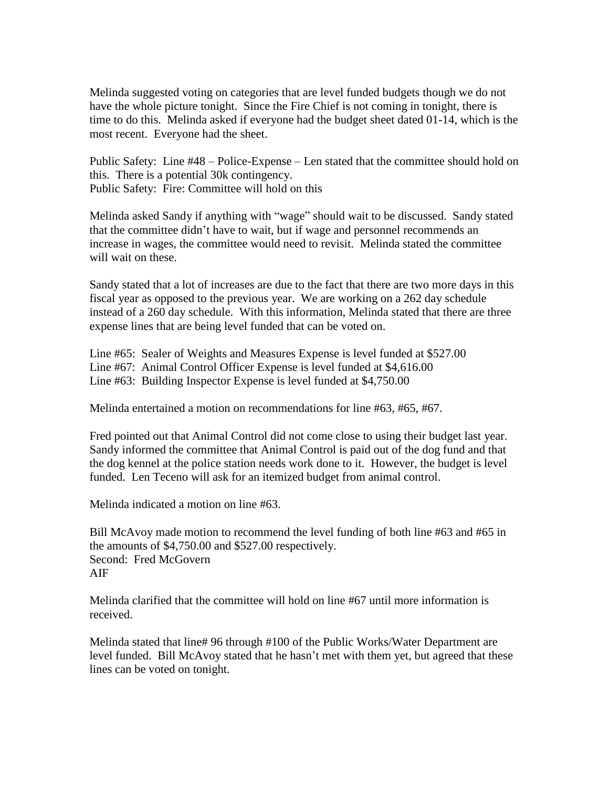Melinda suggested voting on categories that are level funded budgets though we do not have the whole picture tonight. Since the Fire Chief is not coming in tonight, there is time to do this. Melinda asked if everyone had the budget sheet dated 01-14, which is the most recent. Everyone had the sheet.

Public Safety: Line #48 – Police-Expense – Len stated that the committee should hold on this. There is a potential 30k contingency. Public Safety: Fire: Committee will hold on this

Melinda asked Sandy if anything with "wage" should wait to be discussed. Sandy stated that the committee didn't have to wait, but if wage and personnel recommends an increase in wages, the committee would need to revisit. Melinda stated the committee will wait on these.

Sandy stated that a lot of increases are due to the fact that there are two more days in this fiscal year as opposed to the previous year. We are working on a 262 day schedule instead of a 260 day schedule. With this information, Melinda stated that there are three expense lines that are being level funded that can be voted on.

Line #65: Sealer of Weights and Measures Expense is level funded at \$527.00 Line #67: Animal Control Officer Expense is level funded at \$4,616.00 Line #63: Building Inspector Expense is level funded at \$4,750.00

Melinda entertained a motion on recommendations for line #63, #65, #67.

Fred pointed out that Animal Control did not come close to using their budget last year. Sandy informed the committee that Animal Control is paid out of the dog fund and that the dog kennel at the police station needs work done to it. However, the budget is level funded. Len Teceno will ask for an itemized budget from animal control.

Melinda indicated a motion on line #63.

Bill McAvoy made motion to recommend the level funding of both line #63 and #65 in the amounts of \$4,750.00 and \$527.00 respectively. Second: Fred McGovern AIF

Melinda clarified that the committee will hold on line #67 until more information is received.

Melinda stated that line# 96 through #100 of the Public Works/Water Department are level funded. Bill McAvoy stated that he hasn't met with them yet, but agreed that these lines can be voted on tonight.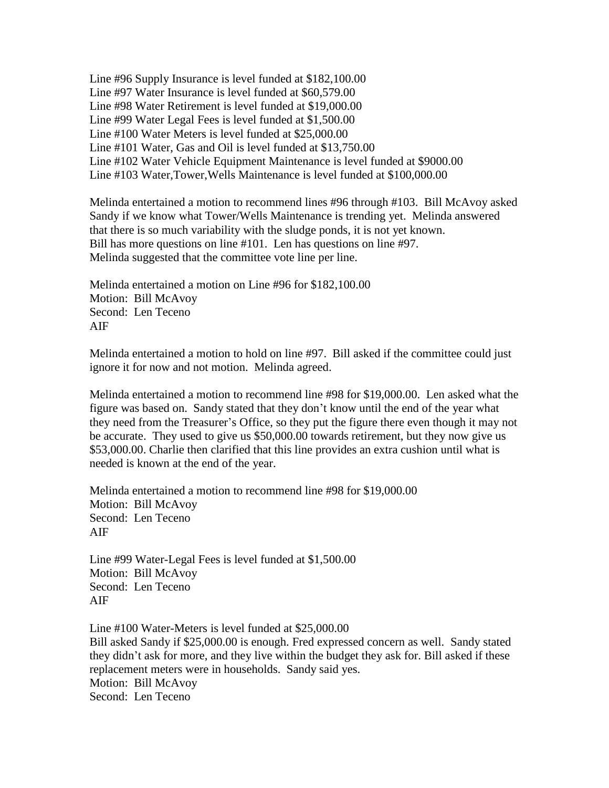Line #96 Supply Insurance is level funded at \$182,100.00 Line #97 Water Insurance is level funded at \$60,579.00 Line #98 Water Retirement is level funded at \$19,000.00 Line #99 Water Legal Fees is level funded at \$1,500.00 Line #100 Water Meters is level funded at \$25,000.00 Line #101 Water, Gas and Oil is level funded at \$13,750.00 Line #102 Water Vehicle Equipment Maintenance is level funded at \$9000.00 Line #103 Water,Tower,Wells Maintenance is level funded at \$100,000.00

Melinda entertained a motion to recommend lines #96 through #103. Bill McAvoy asked Sandy if we know what Tower/Wells Maintenance is trending yet. Melinda answered that there is so much variability with the sludge ponds, it is not yet known. Bill has more questions on line #101. Len has questions on line #97. Melinda suggested that the committee vote line per line.

Melinda entertained a motion on Line #96 for \$182,100.00 Motion: Bill McAvoy Second: Len Teceno AIF

Melinda entertained a motion to hold on line #97. Bill asked if the committee could just ignore it for now and not motion. Melinda agreed.

Melinda entertained a motion to recommend line #98 for \$19,000.00. Len asked what the figure was based on. Sandy stated that they don't know until the end of the year what they need from the Treasurer's Office, so they put the figure there even though it may not be accurate. They used to give us \$50,000.00 towards retirement, but they now give us \$53,000.00. Charlie then clarified that this line provides an extra cushion until what is needed is known at the end of the year.

Melinda entertained a motion to recommend line #98 for \$19,000.00 Motion: Bill McAvoy Second: Len Teceno AIF

Line #99 Water-Legal Fees is level funded at \$1,500.00 Motion: Bill McAvoy Second: Len Teceno AIF

Line #100 Water-Meters is level funded at \$25,000.00 Bill asked Sandy if \$25,000.00 is enough. Fred expressed concern as well. Sandy stated they didn't ask for more, and they live within the budget they ask for. Bill asked if these replacement meters were in households. Sandy said yes. Motion: Bill McAvoy Second: Len Teceno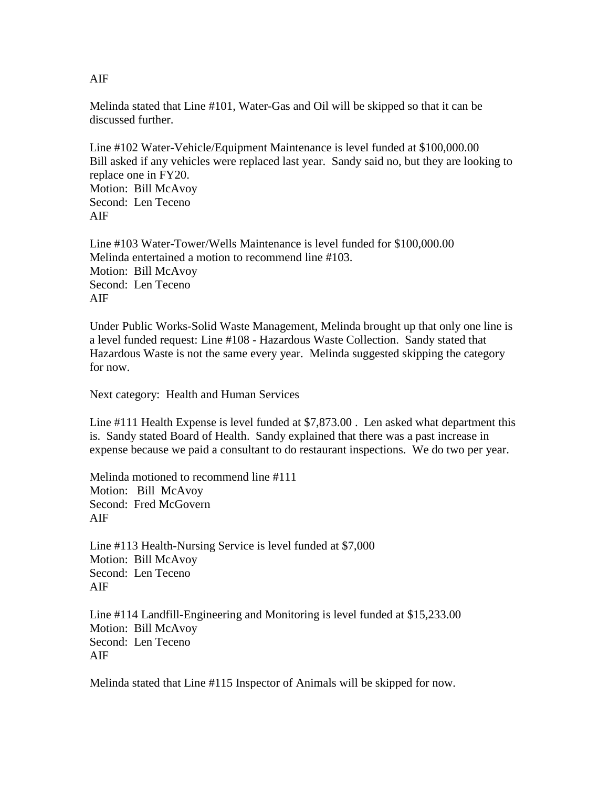Melinda stated that Line #101, Water-Gas and Oil will be skipped so that it can be discussed further.

Line #102 Water-Vehicle/Equipment Maintenance is level funded at \$100,000.00 Bill asked if any vehicles were replaced last year. Sandy said no, but they are looking to replace one in FY20. Motion: Bill McAvoy Second: Len Teceno AIF

Line #103 Water-Tower/Wells Maintenance is level funded for \$100,000.00 Melinda entertained a motion to recommend line #103. Motion: Bill McAvoy Second: Len Teceno AIF

Under Public Works-Solid Waste Management, Melinda brought up that only one line is a level funded request: Line #108 - Hazardous Waste Collection. Sandy stated that Hazardous Waste is not the same every year. Melinda suggested skipping the category for now.

Next category: Health and Human Services

Line #111 Health Expense is level funded at \$7,873.00 . Len asked what department this is. Sandy stated Board of Health. Sandy explained that there was a past increase in expense because we paid a consultant to do restaurant inspections. We do two per year.

Melinda motioned to recommend line #111 Motion: Bill McAvoy Second: Fred McGovern AIF

Line #113 Health-Nursing Service is level funded at \$7,000 Motion: Bill McAvoy Second: Len Teceno AIF

Line #114 Landfill-Engineering and Monitoring is level funded at \$15,233.00 Motion: Bill McAvoy Second: Len Teceno AIF

Melinda stated that Line #115 Inspector of Animals will be skipped for now.

AIF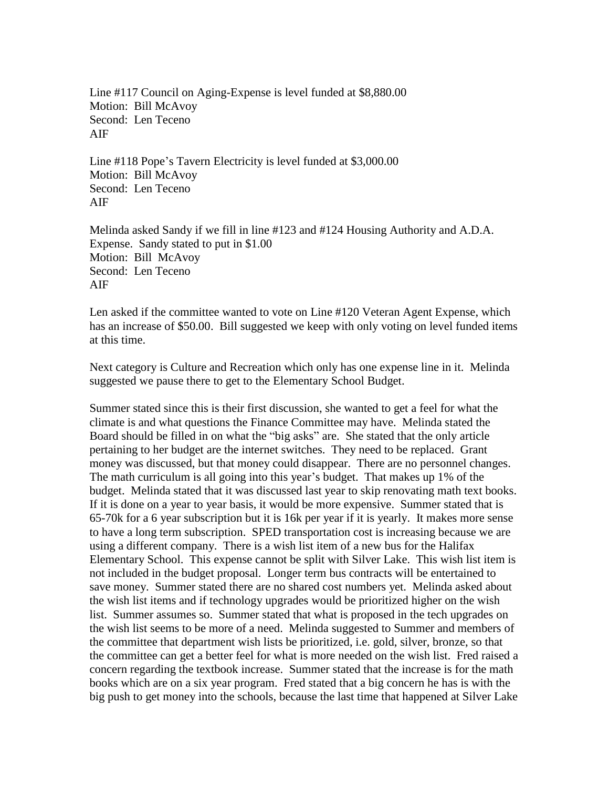Line #117 Council on Aging-Expense is level funded at \$8,880.00 Motion: Bill McAvoy Second: Len Teceno AIF

Line #118 Pope's Tavern Electricity is level funded at \$3,000.00 Motion: Bill McAvoy Second: Len Teceno AIF

Melinda asked Sandy if we fill in line #123 and #124 Housing Authority and A.D.A. Expense. Sandy stated to put in \$1.00 Motion: Bill McAvoy Second: Len Teceno AIF

Len asked if the committee wanted to vote on Line #120 Veteran Agent Expense, which has an increase of \$50.00. Bill suggested we keep with only voting on level funded items at this time.

Next category is Culture and Recreation which only has one expense line in it. Melinda suggested we pause there to get to the Elementary School Budget.

Summer stated since this is their first discussion, she wanted to get a feel for what the climate is and what questions the Finance Committee may have. Melinda stated the Board should be filled in on what the "big asks" are. She stated that the only article pertaining to her budget are the internet switches. They need to be replaced. Grant money was discussed, but that money could disappear. There are no personnel changes. The math curriculum is all going into this year's budget. That makes up 1% of the budget. Melinda stated that it was discussed last year to skip renovating math text books. If it is done on a year to year basis, it would be more expensive. Summer stated that is 65-70k for a 6 year subscription but it is 16k per year if it is yearly. It makes more sense to have a long term subscription. SPED transportation cost is increasing because we are using a different company. There is a wish list item of a new bus for the Halifax Elementary School. This expense cannot be split with Silver Lake. This wish list item is not included in the budget proposal. Longer term bus contracts will be entertained to save money. Summer stated there are no shared cost numbers yet. Melinda asked about the wish list items and if technology upgrades would be prioritized higher on the wish list. Summer assumes so. Summer stated that what is proposed in the tech upgrades on the wish list seems to be more of a need. Melinda suggested to Summer and members of the committee that department wish lists be prioritized, i.e. gold, silver, bronze, so that the committee can get a better feel for what is more needed on the wish list. Fred raised a concern regarding the textbook increase. Summer stated that the increase is for the math books which are on a six year program. Fred stated that a big concern he has is with the big push to get money into the schools, because the last time that happened at Silver Lake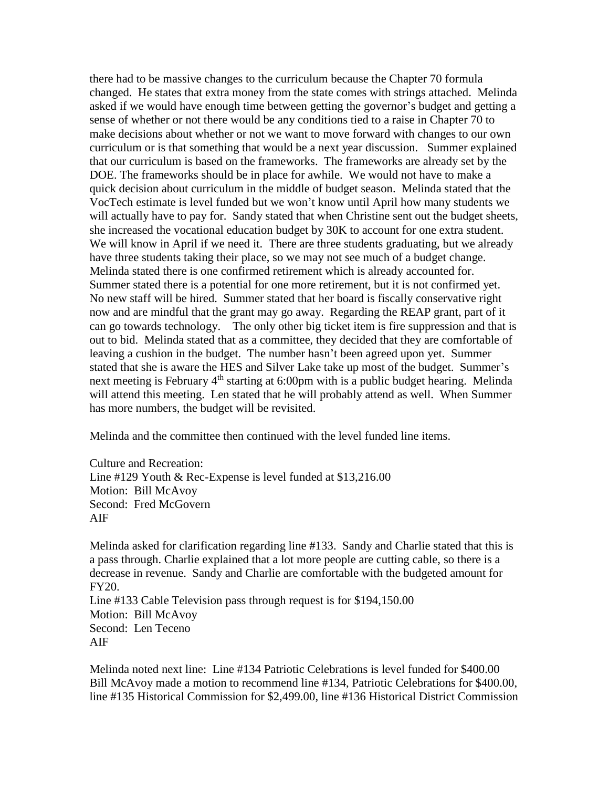there had to be massive changes to the curriculum because the Chapter 70 formula changed. He states that extra money from the state comes with strings attached. Melinda asked if we would have enough time between getting the governor's budget and getting a sense of whether or not there would be any conditions tied to a raise in Chapter 70 to make decisions about whether or not we want to move forward with changes to our own curriculum or is that something that would be a next year discussion. Summer explained that our curriculum is based on the frameworks. The frameworks are already set by the DOE. The frameworks should be in place for awhile. We would not have to make a quick decision about curriculum in the middle of budget season. Melinda stated that the VocTech estimate is level funded but we won't know until April how many students we will actually have to pay for. Sandy stated that when Christine sent out the budget sheets, she increased the vocational education budget by 30K to account for one extra student. We will know in April if we need it. There are three students graduating, but we already have three students taking their place, so we may not see much of a budget change. Melinda stated there is one confirmed retirement which is already accounted for. Summer stated there is a potential for one more retirement, but it is not confirmed yet. No new staff will be hired. Summer stated that her board is fiscally conservative right now and are mindful that the grant may go away. Regarding the REAP grant, part of it can go towards technology. The only other big ticket item is fire suppression and that is out to bid. Melinda stated that as a committee, they decided that they are comfortable of leaving a cushion in the budget. The number hasn't been agreed upon yet. Summer stated that she is aware the HES and Silver Lake take up most of the budget. Summer's next meeting is February 4<sup>th</sup> starting at 6:00pm with is a public budget hearing. Melinda will attend this meeting. Len stated that he will probably attend as well. When Summer has more numbers, the budget will be revisited.

Melinda and the committee then continued with the level funded line items.

Culture and Recreation: Line #129 Youth & Rec-Expense is level funded at \$13,216.00 Motion: Bill McAvoy Second: Fred McGovern AIF

Melinda asked for clarification regarding line #133. Sandy and Charlie stated that this is a pass through. Charlie explained that a lot more people are cutting cable, so there is a decrease in revenue. Sandy and Charlie are comfortable with the budgeted amount for FY20. Line #133 Cable Television pass through request is for \$194,150.00 Motion: Bill McAvoy Second: Len Teceno AIF

Melinda noted next line: Line #134 Patriotic Celebrations is level funded for \$400.00 Bill McAvoy made a motion to recommend line #134, Patriotic Celebrations for \$400.00, line #135 Historical Commission for \$2,499.00, line #136 Historical District Commission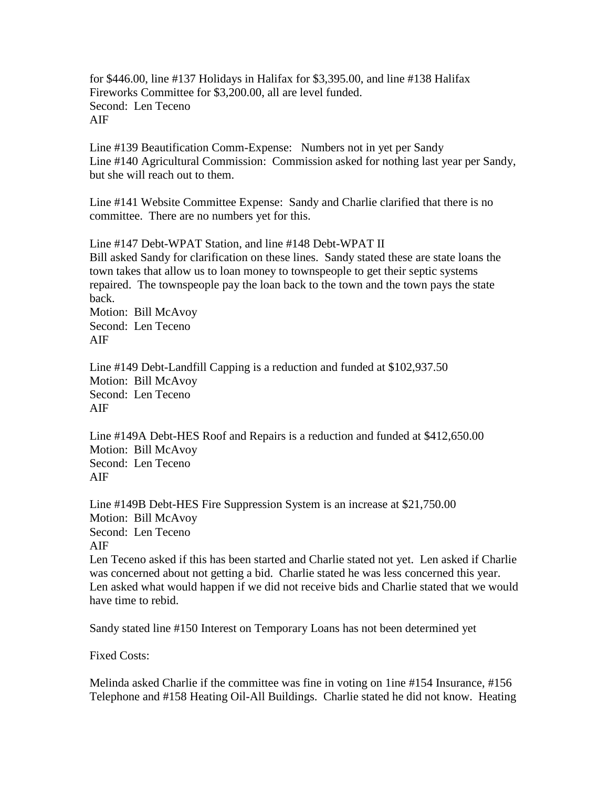for \$446.00, line #137 Holidays in Halifax for \$3,395.00, and line #138 Halifax Fireworks Committee for \$3,200.00, all are level funded. Second: Len Teceno AIF

Line #139 Beautification Comm-Expense: Numbers not in yet per Sandy Line #140 Agricultural Commission: Commission asked for nothing last year per Sandy, but she will reach out to them.

Line #141 Website Committee Expense: Sandy and Charlie clarified that there is no committee. There are no numbers yet for this.

Line #147 Debt-WPAT Station, and line #148 Debt-WPAT II Bill asked Sandy for clarification on these lines. Sandy stated these are state loans the town takes that allow us to loan money to townspeople to get their septic systems repaired. The townspeople pay the loan back to the town and the town pays the state back.

Motion: Bill McAvoy Second: Len Teceno AIF

Line #149 Debt-Landfill Capping is a reduction and funded at \$102,937.50 Motion: Bill McAvoy Second: Len Teceno AIF

Line #149A Debt-HES Roof and Repairs is a reduction and funded at \$412,650.00 Motion: Bill McAvoy Second: Len Teceno AIF

Line #149B Debt-HES Fire Suppression System is an increase at \$21,750.00 Motion: Bill McAvoy Second: Len Teceno AIF

Len Teceno asked if this has been started and Charlie stated not yet. Len asked if Charlie was concerned about not getting a bid. Charlie stated he was less concerned this year. Len asked what would happen if we did not receive bids and Charlie stated that we would have time to rebid.

Sandy stated line #150 Interest on Temporary Loans has not been determined yet

Fixed Costs:

Melinda asked Charlie if the committee was fine in voting on 1ine #154 Insurance, #156 Telephone and #158 Heating Oil-All Buildings. Charlie stated he did not know. Heating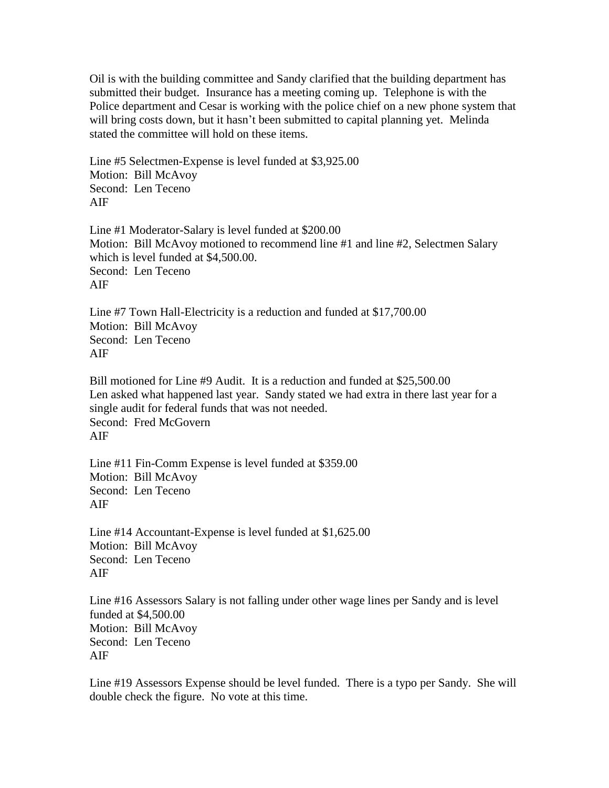Oil is with the building committee and Sandy clarified that the building department has submitted their budget. Insurance has a meeting coming up. Telephone is with the Police department and Cesar is working with the police chief on a new phone system that will bring costs down, but it hasn't been submitted to capital planning yet. Melinda stated the committee will hold on these items.

Line #5 Selectmen-Expense is level funded at \$3,925.00 Motion: Bill McAvoy Second: Len Teceno AIF

Line #1 Moderator-Salary is level funded at \$200.00 Motion: Bill McAvoy motioned to recommend line #1 and line #2, Selectmen Salary which is level funded at \$4,500.00. Second: Len Teceno AIF

Line #7 Town Hall-Electricity is a reduction and funded at \$17,700.00 Motion: Bill McAvoy Second: Len Teceno AIF

Bill motioned for Line #9 Audit. It is a reduction and funded at \$25,500.00 Len asked what happened last year. Sandy stated we had extra in there last year for a single audit for federal funds that was not needed. Second: Fred McGovern AIF

Line #11 Fin-Comm Expense is level funded at \$359.00 Motion: Bill McAvoy Second: Len Teceno AIF

Line #14 Accountant-Expense is level funded at \$1,625.00 Motion: Bill McAvoy Second: Len Teceno AIF

Line #16 Assessors Salary is not falling under other wage lines per Sandy and is level funded at \$4,500.00 Motion: Bill McAvoy Second: Len Teceno AIF

Line #19 Assessors Expense should be level funded. There is a typo per Sandy. She will double check the figure. No vote at this time.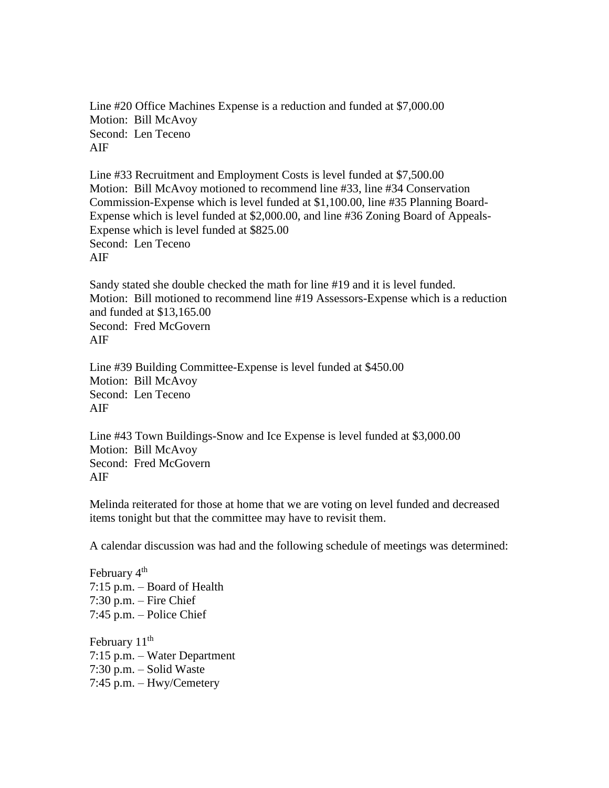Line #20 Office Machines Expense is a reduction and funded at \$7,000.00 Motion: Bill McAvoy Second: Len Teceno AIF

Line #33 Recruitment and Employment Costs is level funded at \$7,500.00 Motion: Bill McAvoy motioned to recommend line #33, line #34 Conservation Commission-Expense which is level funded at \$1,100.00, line #35 Planning Board-Expense which is level funded at \$2,000.00, and line #36 Zoning Board of Appeals-Expense which is level funded at \$825.00 Second: Len Teceno AIF

Sandy stated she double checked the math for line #19 and it is level funded. Motion: Bill motioned to recommend line #19 Assessors-Expense which is a reduction and funded at \$13,165.00 Second: Fred McGovern AIF

Line #39 Building Committee-Expense is level funded at \$450.00 Motion: Bill McAvoy Second: Len Teceno AIF

Line #43 Town Buildings-Snow and Ice Expense is level funded at \$3,000.00 Motion: Bill McAvoy Second: Fred McGovern AIF

Melinda reiterated for those at home that we are voting on level funded and decreased items tonight but that the committee may have to revisit them.

A calendar discussion was had and the following schedule of meetings was determined:

February 4<sup>th</sup> 7:15 p.m. – Board of Health 7:30 p.m. – Fire Chief 7:45 p.m. – Police Chief

February 11<sup>th</sup> 7:15 p.m. – Water Department 7:30 p.m. – Solid Waste 7:45 p.m. – Hwy/Cemetery